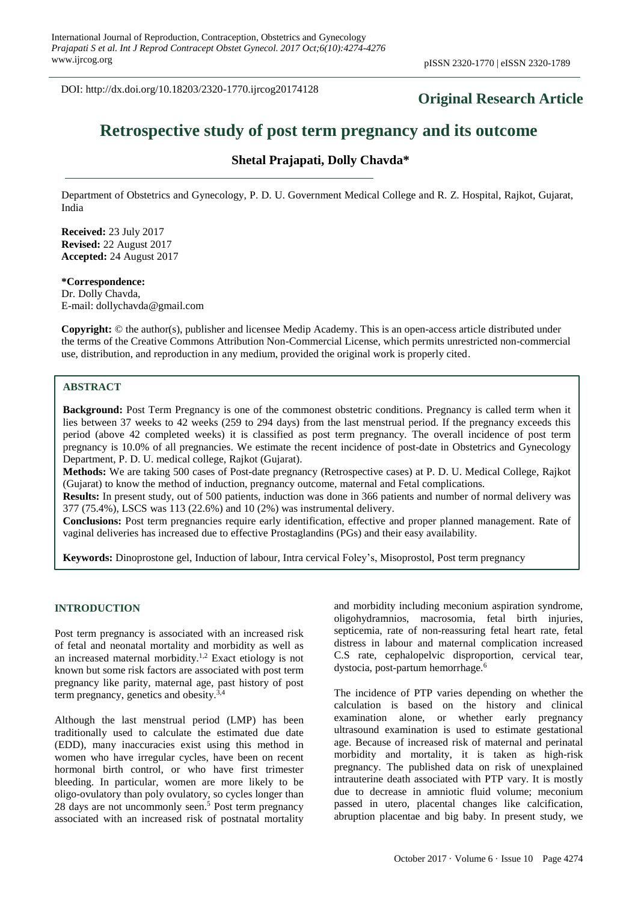DOI: http://dx.doi.org/10.18203/2320-1770.ijrcog20174128

## **Original Research Article**

# **Retrospective study of post term pregnancy and its outcome**

## **Shetal Prajapati, Dolly Chavda\***

Department of Obstetrics and Gynecology, P. D. U. Government Medical College and R. Z. Hospital, Rajkot, Gujarat, India

**Received:** 23 July 2017 **Revised:** 22 August 2017 **Accepted:** 24 August 2017

#### **\*Correspondence:**

Dr. Dolly Chavda, E-mail: dollychavda@gmail.com

**Copyright:** © the author(s), publisher and licensee Medip Academy. This is an open-access article distributed under the terms of the Creative Commons Attribution Non-Commercial License, which permits unrestricted non-commercial use, distribution, and reproduction in any medium, provided the original work is properly cited.

#### **ABSTRACT**

**Background:** Post Term Pregnancy is one of the commonest obstetric conditions. Pregnancy is called term when it lies between 37 weeks to 42 weeks (259 to 294 days) from the last menstrual period. If the pregnancy exceeds this period (above 42 completed weeks) it is classified as post term pregnancy. The overall incidence of post term pregnancy is 10.0% of all pregnancies. We estimate the recent incidence of post-date in Obstetrics and Gynecology Department, P. D. U. medical college, Rajkot (Gujarat).

**Methods:** We are taking 500 cases of Post-date pregnancy (Retrospective cases) at P. D. U. Medical College, Rajkot (Gujarat) to know the method of induction, pregnancy outcome, maternal and Fetal complications.

**Results:** In present study, out of 500 patients, induction was done in 366 patients and number of normal delivery was 377 (75.4%), LSCS was 113 (22.6%) and 10 (2%) was instrumental delivery.

**Conclusions:** Post term pregnancies require early identification, effective and proper planned management. Rate of vaginal deliveries has increased due to effective Prostaglandins (PGs) and their easy availability.

**Keywords:** Dinoprostone gel, Induction of labour, Intra cervical Foley's, Misoprostol, Post term pregnancy

#### **INTRODUCTION**

Post term pregnancy is associated with an increased risk of fetal and neonatal mortality and morbidity as well as an increased maternal morbidity.1,2 Exact etiology is not known but some risk factors are associated with post term pregnancy like parity, maternal age, past history of post term pregnancy, genetics and obesity.3,4

Although the last menstrual period (LMP) has been traditionally used to calculate the estimated due date (EDD), many inaccuracies exist using this method in women who have irregular cycles, have been on recent hormonal birth control, or who have first trimester bleeding. In particular, women are more likely to be oligo-ovulatory than poly ovulatory, so cycles longer than 28 days are not uncommonly seen.<sup>5</sup> Post term pregnancy associated with an increased risk of postnatal mortality and morbidity including meconium aspiration syndrome, oligohydramnios, macrosomia, fetal birth injuries, septicemia, rate of non-reassuring fetal heart rate, fetal distress in labour and maternal complication increased C.S rate, cephalopelvic disproportion, cervical tear, dystocia, post-partum hemorrhage.<sup>6</sup>

The incidence of PTP varies depending on whether the calculation is based on the history and clinical examination alone, or whether early pregnancy ultrasound examination is used to estimate gestational age. Because of increased risk of maternal and perinatal morbidity and mortality, it is taken as high-risk pregnancy. The published data on risk of unexplained intrauterine death associated with PTP vary. It is mostly due to decrease in amniotic fluid volume; meconium passed in utero, placental changes like calcification, abruption placentae and big baby. In present study, we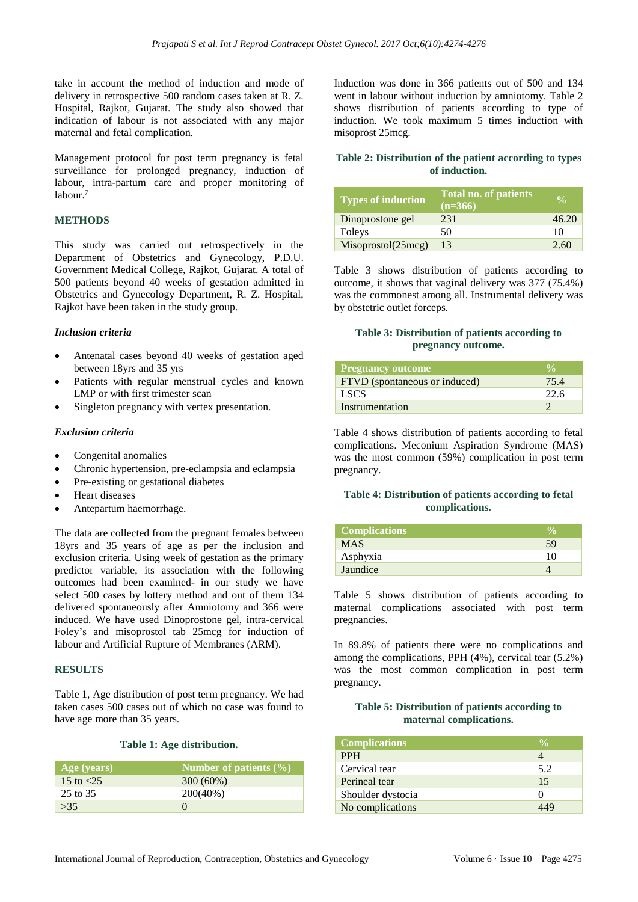take in account the method of induction and mode of delivery in retrospective 500 random cases taken at R. Z. Hospital, Rajkot, Gujarat. The study also showed that indication of labour is not associated with any major maternal and fetal complication.

Management protocol for post term pregnancy is fetal surveillance for prolonged pregnancy, induction of labour, intra-partum care and proper monitoring of labour.<sup>7</sup>

#### **METHODS**

This study was carried out retrospectively in the Department of Obstetrics and Gynecology, P.D.U. Government Medical College, Rajkot, Gujarat. A total of 500 patients beyond 40 weeks of gestation admitted in Obstetrics and Gynecology Department, R. Z. Hospital, Rajkot have been taken in the study group.

#### *Inclusion criteria*

- Antenatal cases beyond 40 weeks of gestation aged between 18yrs and 35 yrs
- Patients with regular menstrual cycles and known LMP or with first trimester scan
- Singleton pregnancy with vertex presentation.

#### *Exclusion criteria*

- Congenital anomalies
- Chronic hypertension, pre-eclampsia and eclampsia
- Pre-existing or gestational diabetes
- Heart diseases
- Antepartum haemorrhage.

The data are collected from the pregnant females between 18yrs and 35 years of age as per the inclusion and exclusion criteria. Using week of gestation as the primary predictor variable, its association with the following outcomes had been examined- in our study we have select 500 cases by lottery method and out of them 134 delivered spontaneously after Amniotomy and 366 were induced. We have used Dinoprostone gel, intra-cervical Foley's and misoprostol tab 25mcg for induction of labour and Artificial Rupture of Membranes (ARM).

#### **RESULTS**

Table 1, Age distribution of post term pregnancy. We had taken cases 500 cases out of which no case was found to have age more than 35 years.

#### **Table 1: Age distribution.**

| Age (years)  | Number of patients $(\% )$ |
|--------------|----------------------------|
| 15 to $< 25$ | $300(60\%)$                |
| 25 to 35     | $200(40\%)$                |
| >35          |                            |

Induction was done in 366 patients out of 500 and 134 went in labour without induction by amniotomy. Table 2 shows distribution of patients according to type of induction. We took maximum 5 times induction with misoprost 25mcg.

### **Table 2: Distribution of the patient according to types of induction.**

| <b>Types of induction</b> | Total no. of patients<br>$(n=366)$ |       |
|---------------------------|------------------------------------|-------|
| Dinoprostone gel          | 231                                | 46.20 |
| Foleys                    | 50                                 | 10    |
| Misoprostol(25mcg)        | 13                                 | 2.60  |

Table 3 shows distribution of patients according to outcome, it shows that vaginal delivery was 377 (75.4%) was the commonest among all. Instrumental delivery was by obstetric outlet forceps.

#### **Table 3: Distribution of patients according to pregnancy outcome.**

| <b>Pregnancy outcome</b>      |      |
|-------------------------------|------|
| FTVD (spontaneous or induced) | 75.4 |
| <b>LSCS</b>                   | 22.6 |
| Instrumentation               |      |

Table 4 shows distribution of patients according to fetal complications. Meconium Aspiration Syndrome (MAS) was the most common (59%) complication in post term pregnancy.

#### **Table 4: Distribution of patients according to fetal complications.**

| <b>Complications</b> |    |
|----------------------|----|
| <b>MAS</b>           | 59 |
| Asphyxia             | 10 |
| Jaundice             |    |

Table 5 shows distribution of patients according to maternal complications associated with post term pregnancies.

In 89.8% of patients there were no complications and among the complications, PPH (4%), cervical tear (5.2%) was the most common complication in post term pregnancy.

#### **Table 5: Distribution of patients according to maternal complications.**

| <b>Complications</b> | $\frac{0}{0}$     |
|----------------------|-------------------|
| <b>PPH</b>           |                   |
| Cervical tear        | 5.2               |
| Perineal tear        | 15                |
| Shoulder dystocia    | $\mathbf{\Omega}$ |
| No complications     |                   |